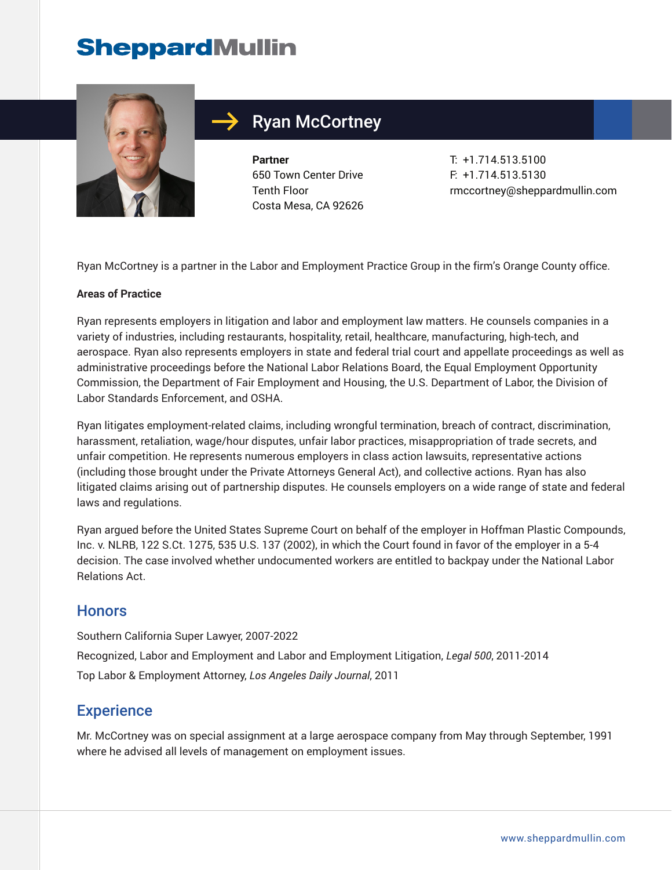## **SheppardMullin**



### Ryan McCortney

**Partner** 650 Town Center Drive Tenth Floor Costa Mesa, CA 92626 T: +1.714.513.5100 F: +1.714.513.5130 rmccortney@sheppardmullin.com

Ryan McCortney is a partner in the Labor and Employment Practice Group in the firm's Orange County office.

#### **Areas of Practice**

Ryan represents employers in litigation and labor and employment law matters. He counsels companies in a variety of industries, including restaurants, hospitality, retail, healthcare, manufacturing, high-tech, and aerospace. Ryan also represents employers in state and federal trial court and appellate proceedings as well as administrative proceedings before the National Labor Relations Board, the Equal Employment Opportunity Commission, the Department of Fair Employment and Housing, the U.S. Department of Labor, the Division of Labor Standards Enforcement, and OSHA.

Ryan litigates employment-related claims, including wrongful termination, breach of contract, discrimination, harassment, retaliation, wage/hour disputes, unfair labor practices, misappropriation of trade secrets, and unfair competition. He represents numerous employers in class action lawsuits, representative actions (including those brought under the Private Attorneys General Act), and collective actions. Ryan has also litigated claims arising out of partnership disputes. He counsels employers on a wide range of state and federal laws and regulations.

Ryan argued before the United States Supreme Court on behalf of the employer in Hoffman Plastic Compounds, Inc. v. NLRB, 122 S.Ct. 1275, 535 U.S. 137 (2002), in which the Court found in favor of the employer in a 5-4 decision. The case involved whether undocumented workers are entitled to backpay under the National Labor Relations Act.

#### **Honors**

Southern California Super Lawyer, 2007-2022 Recognized, Labor and Employment and Labor and Employment Litigation, *Legal 500*, 2011-2014 Top Labor & Employment Attorney, *Los Angeles Daily Journal*, 2011

#### **Experience**

Mr. McCortney was on special assignment at a large aerospace company from May through September, 1991 where he advised all levels of management on employment issues.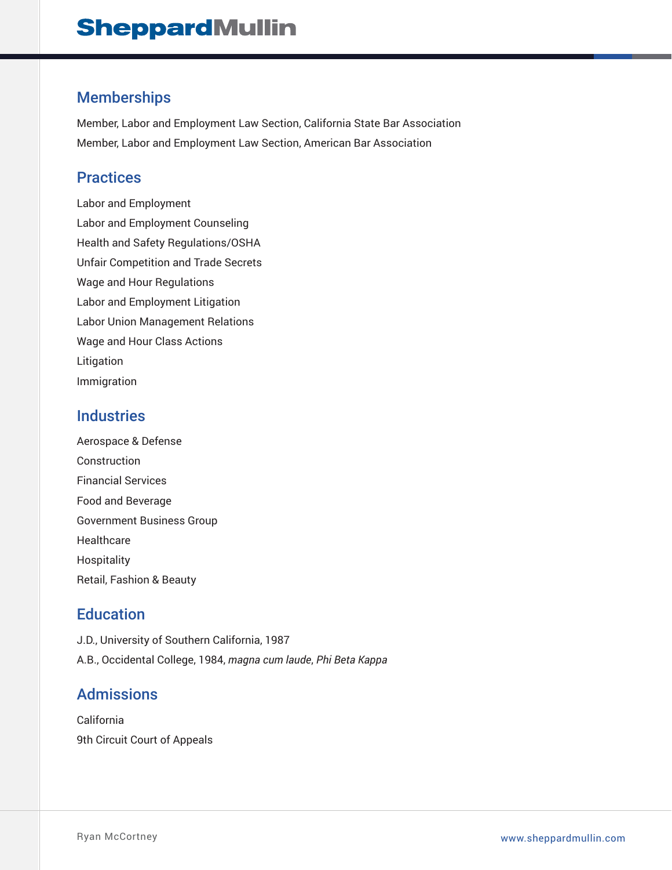#### Memberships

Member, Labor and Employment Law Section, California State Bar Association Member, Labor and Employment Law Section, American Bar Association

#### Practices

Labor and Employment Labor and Employment Counseling Health and Safety Regulations/OSHA Unfair Competition and Trade Secrets Wage and Hour Regulations Labor and Employment Litigation Labor Union Management Relations Wage and Hour Class Actions Litigation Immigration

#### **Industries**

Aerospace & Defense Construction Financial Services Food and Beverage Government Business Group Healthcare Hospitality Retail, Fashion & Beauty

#### **Education**

J.D., University of Southern California, 1987 A.B., Occidental College, 1984, *magna cum laude*, *Phi Beta Kappa*

#### Admissions

California 9th Circuit Court of Appeals